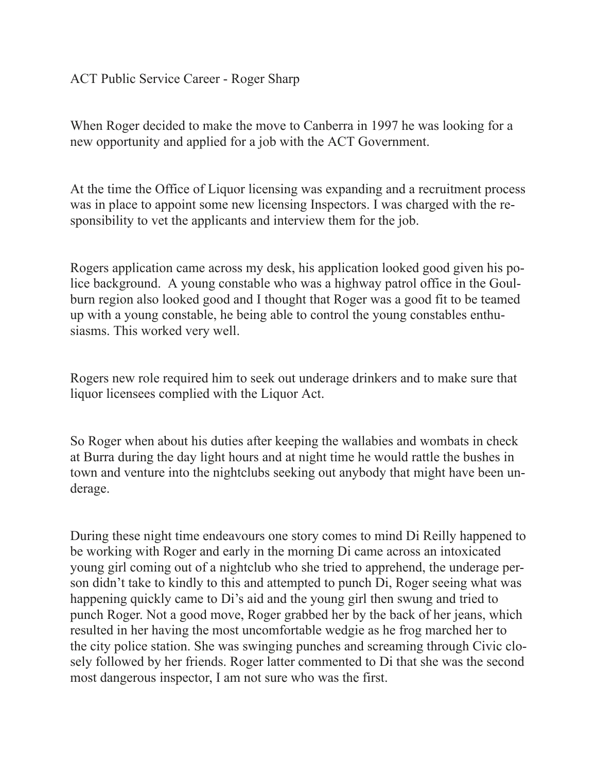## ACT Public Service Career - Roger Sharp

When Roger decided to make the move to Canberra in 1997 he was looking for a new opportunity and applied for a job with the ACT Government.

At the time the Office of Liquor licensing was expanding and a recruitment process was in place to appoint some new licensing Inspectors. I was charged with the responsibility to vet the applicants and interview them for the job.

Rogers application came across my desk, his application looked good given his police background. A young constable who was a highway patrol office in the Goulburn region also looked good and I thought that Roger was a good fit to be teamed up with a young constable, he being able to control the young constables enthusiasms. This worked very well.

Rogers new role required him to seek out underage drinkers and to make sure that liquor licensees complied with the Liquor Act.

So Roger when about his duties after keeping the wallabies and wombats in check at Burra during the day light hours and at night time he would rattle the bushes in town and venture into the nightclubs seeking out anybody that might have been underage.

During these night time endeavours one story comes to mind Di Reilly happened to be working with Roger and early in the morning Di came across an intoxicated young girl coming out of a nightclub who she tried to apprehend, the underage person didn't take to kindly to this and attempted to punch Di, Roger seeing what was happening quickly came to Di's aid and the young girl then swung and tried to punch Roger. Not a good move, Roger grabbed her by the back of her jeans, which resulted in her having the most uncomfortable wedgie as he frog marched her to the city police station. She was swinging punches and screaming through Civic closely followed by her friends. Roger latter commented to Di that she was the second most dangerous inspector, I am not sure who was the first.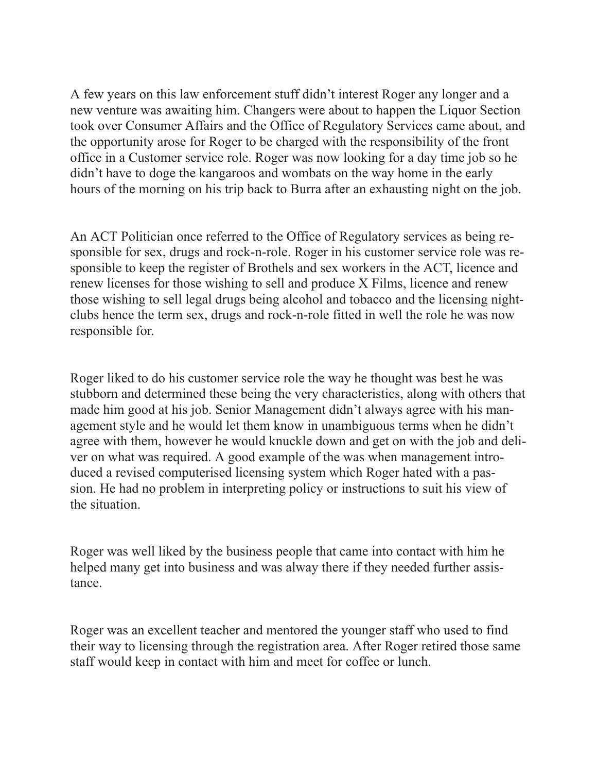A few years on this law enforcement stuff didn't interest Roger any longer and a new venture was awaiting him. Changers were about to happen the Liquor Section took over Consumer Affairs and the Office of Regulatory Services came about, and the opportunity arose for Roger to be charged with the responsibility of the front office in a Customer service role. Roger was now looking for a day time job so he didn't have to doge the kangaroos and wombats on the way home in the early hours of the morning on his trip back to Burra after an exhausting night on the job.

An ACT Politician once referred to the Office of Regulatory services as being responsible for sex, drugs and rock-n-role. Roger in his customer service role was responsible to keep the register of Brothels and sex workers in the ACT, licence and renew licenses for those wishing to sell and produce X Films, licence and renew those wishing to sell legal drugs being alcohol and tobacco and the licensing nightclubs hence the term sex, drugs and rock-n-role fitted in well the role he was now responsible for.

Roger liked to do his customer service role the way he thought was best he was stubborn and determined these being the very characteristics, along with others that made him good at his job. Senior Management didn't always agree with his management style and he would let them know in unambiguous terms when he didn't agree with them, however he would knuckle down and get on with the job and deliver on what was required. A good example of the was when management introduced a revised computerised licensing system which Roger hated with a passion. He had no problem in interpreting policy or instructions to suit his view of the situation.

Roger was well liked by the business people that came into contact with him he helped many get into business and was alway there if they needed further assistance.

Roger was an excellent teacher and mentored the younger staff who used to find their way to licensing through the registration area. After Roger retired those same staff would keep in contact with him and meet for coffee or lunch.